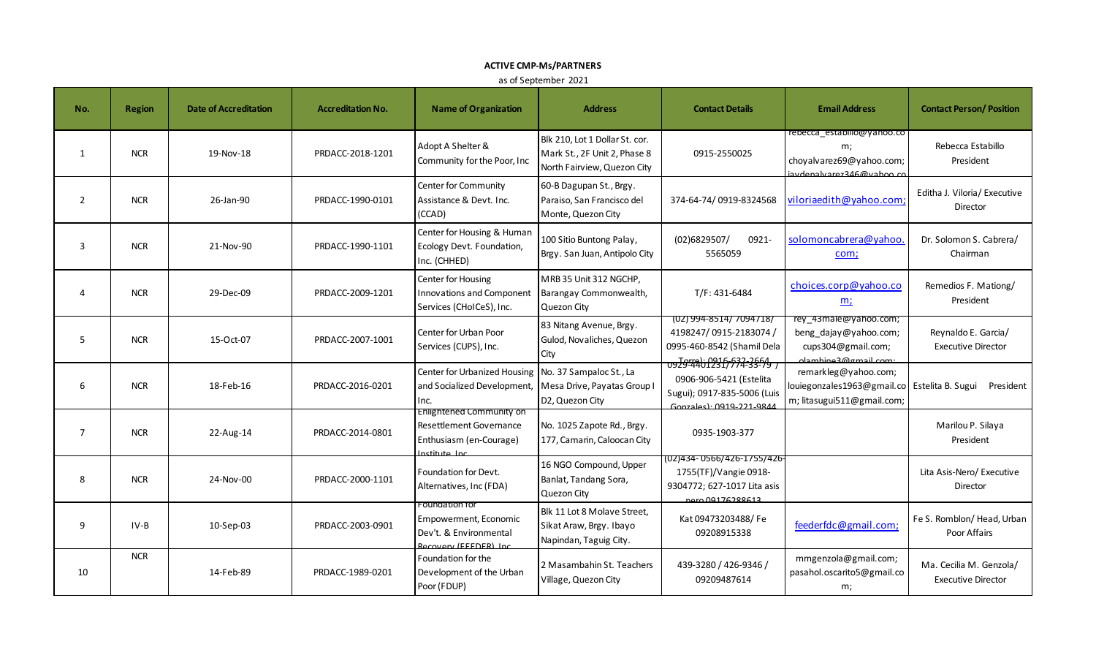## **ACTIVE CMP-Ms/PARTNERS**

as of September 2021

| No.            | <b>Region</b> | <b>Date of Accreditation</b> | <b>Accreditation No.</b> | <b>Name of Organization</b>                                                                        | <b>Address</b>                                                                                | <b>Contact Details</b>                                                                                                          | <b>Email Address</b>                                                                        | <b>Contact Person/ Position</b>                      |
|----------------|---------------|------------------------------|--------------------------|----------------------------------------------------------------------------------------------------|-----------------------------------------------------------------------------------------------|---------------------------------------------------------------------------------------------------------------------------------|---------------------------------------------------------------------------------------------|------------------------------------------------------|
| 1              | <b>NCR</b>    | 19-Nov-18                    | PRDACC-2018-1201         | Adopt A Shelter &<br>Community for the Poor, Inc                                                   | Blk 210, Lot 1 Dollar St. cor.<br>Mark St., 2F Unit 2, Phase 8<br>North Fairview, Quezon City | 0915-2550025                                                                                                                    | rebecca estabilio@yanoo.co<br>m;<br>choyalvarez69@yahoo.com;<br>iavdenalvarez346@vahoo.co   | Rebecca Estabillo<br>President                       |
| 2              | <b>NCR</b>    | 26-Jan-90                    | PRDACC-1990-0101         | Center for Community<br>Assistance & Devt. Inc.<br>(CCAD)                                          | 60-B Dagupan St., Brgy.<br>Paraiso, San Francisco del<br>Monte, Quezon City                   | 374-64-74/0919-8324568                                                                                                          | viloriaedith@yahoo.com                                                                      | Editha J. Viloria/ Executive<br>Director             |
| 3              | <b>NCR</b>    | 21-Nov-90                    | PRDACC-1990-1101         | Center for Housing & Human<br>Ecology Devt. Foundation,<br>Inc. (CHHED)                            | 100 Sitio Buntong Palay,<br>Brgy. San Juan, Antipolo City                                     | (02)6829507/<br>0921-<br>5565059                                                                                                | solomoncabrera@yahoo<br>com;                                                                | Dr. Solomon S. Cabrera/<br>Chairman                  |
| Δ              | <b>NCR</b>    | 29-Dec-09                    | PRDACC-2009-1201         | <b>Center for Housing</b><br><b>Innovations and Component</b><br>Services (CHoICeS), Inc.          | MRB 35 Unit 312 NGCHP,<br>Barangay Commonwealth,<br>Quezon City                               | T/F: 431-6484                                                                                                                   | choices.corp@yahoo.co<br><u>m;</u>                                                          | Remedios F. Mationg/<br>President                    |
| 5              | <b>NCR</b>    | 15-Oct-07                    | PRDACC-2007-1001         | <b>Center for Urban Poor</b><br>Services (CUPS), Inc.                                              | 83 Nitang Avenue, Brgy.<br>Gulod, Novaliches, Quezon<br>City                                  | (02) 994-8514/ 7094718/<br>4198247/0915-2183074<br>0995-460-8542 (Shamil Dela<br>0920-253-2016-632-2664<br>7 9/-33-71/774-33-79 | rey 43male@yahoo.com;<br>beng_dajay@yahoo.com;<br>cups304@gmail.com;<br>clambine3@gmail.com | Reynaldo E. Garcia/<br><b>Executive Director</b>     |
| 6              | <b>NCR</b>    | 18-Feb-16                    | PRDACC-2016-0201         | Center for Urbanized Housing<br>and Socialized Development,<br>Inc.                                | No. 37 Sampaloc St., La<br>Mesa Drive, Payatas Group I<br>D2, Quezon City                     | 0906-906-5421 (Estelita<br>Sugui); 0917-835-5006 (Luis<br>Gonzales): 0919-221-984                                               | remarkleg@yahoo.com;<br>louiegonzales1963@gmail.co<br>m; litasugui511@gmail.com;            | Estelita B. Sugui President                          |
| $\overline{7}$ | <b>NCR</b>    | 22-Aug-14                    | PRDACC-2014-0801         | Enlightened Community on<br>Resettlement Governance<br>Enthusiasm (en-Courage)<br>Institute Inc.   | No. 1025 Zapote Rd., Brgy.<br>177, Camarin, Caloocan City                                     | 0935-1903-377                                                                                                                   |                                                                                             | Marilou P. Silaya<br>President                       |
| 8              | <b>NCR</b>    | 24-Nov-00                    | PRDACC-2000-1101         | Foundation for Devt.<br>Alternatives, Inc (FDA)                                                    | 16 NGO Compound, Upper<br>Banlat, Tandang Sora,<br>Quezon City                                | 1755(TF)/Vangie 0918-<br>9304772; 627-1017 Lita asis<br>nero 09176288613                                                        |                                                                                             | Lita Asis-Nero/ Executive<br>Director                |
| 9              | IV-B          | 10-Sep-03                    | PRDACC-2003-0901         | Foundation for<br>Empowerment, Economic<br>Dev't. & Environmental<br><b>Recovery (EFFDER) Inc.</b> | Blk 11 Lot 8 Molave Street,<br>Sikat Araw, Brgy. Ibayo<br>Napindan, Taguig City.              | Kat 09473203488/Fe<br>09208915338                                                                                               | feederfdc@gmail.com;                                                                        | Fe S. Romblon/ Head, Urban<br>Poor Affairs           |
| 10             | <b>NCR</b>    | 14-Feb-89                    | PRDACC-1989-0201         | Foundation for the<br>Development of the Urban<br>Poor (FDUP)                                      | 2 Masambahin St. Teachers<br>Village, Quezon City                                             | 439-3280 / 426-9346 /<br>09209487614                                                                                            | mmgenzola@gmail.com;<br>pasahol.oscarito5@gmail.co<br>m;                                    | Ma. Cecilia M. Genzola/<br><b>Executive Director</b> |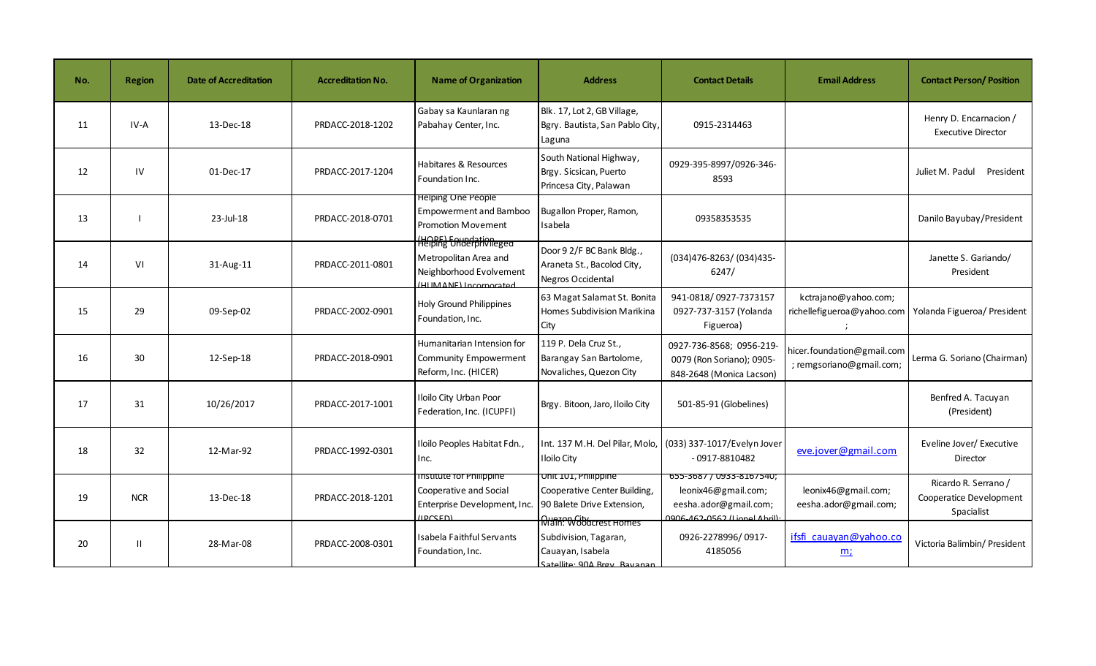| No. | <b>Region</b> | <b>Date of Accreditation</b> | <b>Accreditation No.</b> | <b>Name of Organization</b>                                                                       | <b>Address</b>                                                                                     | <b>Contact Details</b>                                                                                   | <b>Email Address</b>                                   | <b>Contact Person/ Position</b>                               |
|-----|---------------|------------------------------|--------------------------|---------------------------------------------------------------------------------------------------|----------------------------------------------------------------------------------------------------|----------------------------------------------------------------------------------------------------------|--------------------------------------------------------|---------------------------------------------------------------|
| 11  | IV-A          | 13-Dec-18                    | PRDACC-2018-1202         | Gabay sa Kaunlaran ng<br>Pabahay Center, Inc.                                                     | Blk. 17, Lot 2, GB Village,<br>Bgry. Bautista, San Pablo City,<br>Laguna                           | 0915-2314463                                                                                             |                                                        | Henry D. Encarnacion /<br><b>Executive Director</b>           |
| 12  | IV            | 01-Dec-17                    | PRDACC-2017-1204         | Habitares & Resources<br>Foundation Inc.                                                          | South National Highway,<br>Brgy. Sicsican, Puerto<br>Princesa City, Palawan                        | 0929-395-8997/0926-346-<br>8593                                                                          |                                                        | Juliet M. Padul<br>President                                  |
| 13  |               | 23-Jul-18                    | PRDACC-2018-0701         | Helping One People<br><b>Empowerment and Bamboo</b><br><b>Promotion Movement</b>                  | Bugallon Proper, Ramon,<br>Isabela                                                                 | 09358353535                                                                                              |                                                        | Danilo Bayubay/President                                      |
| 14  | VI            | 31-Aug-11                    | PRDACC-2011-0801         | HOPE) Entredationeged<br>Metropolitan Area and<br>Neighborhood Evolvement<br>HUMANE) Incorporated | Door 9 2/F BC Bank Bldg.,<br>Araneta St., Bacolod City,<br>Negros Occidental                       | (034)476-8263/ (034)435-<br>6247/                                                                        |                                                        | Janette S. Gariando/<br>President                             |
| 15  | 29            | 09-Sep-02                    | PRDACC-2002-0901         | <b>Holy Ground Philippines</b><br>Foundation, Inc.                                                | 63 Magat Salamat St. Bonita<br>Homes Subdivision Marikina<br>City                                  | 941-0818/0927-7373157<br>0927-737-3157 (Yolanda<br>Figueroa)                                             | kctrajano@yahoo.com;<br>richellefigueroa@yahoo.com     | Yolanda Figueroa/ President                                   |
| 16  | 30            | 12-Sep-18                    | PRDACC-2018-0901         | Humanitarian Intension for<br><b>Community Empowerment</b><br>Reform, Inc. (HICER)                | 119 P. Dela Cruz St.,<br>Barangay San Bartolome,<br>Novaliches, Quezon City                        | 0927-736-8568; 0956-219<br>0079 (Ron Soriano); 0905-<br>848-2648 (Monica Lacson)                         | hicer.foundation@gmail.com<br>; remgsoriano@gmail.com; | Lerma G. Soriano (Chairman)                                   |
| 17  | 31            | 10/26/2017                   | PRDACC-2017-1001         | <b>Iloilo City Urban Poor</b><br>Federation, Inc. (ICUPFI)                                        | Brgy. Bitoon, Jaro, Iloilo City                                                                    | 501-85-91 (Globelines)                                                                                   |                                                        | Benfred A. Tacuyan<br>(President)                             |
| 18  | 32            | 12-Mar-92                    | PRDACC-1992-0301         | Iloilo Peoples Habitat Fdn.,<br>Inc.                                                              | Int. 137 M.H. Del Pilar, Molo,<br><b>Iloilo City</b>                                               | (033) 337-1017/Evelyn Jover<br>$-0917 - 8810482$                                                         | eve.jover@gmail.com                                    | Eveline Jover/ Executive<br>Director                          |
| 19  | <b>NCR</b>    | 13-Dec-18                    | PRDACC-2018-1201         | Institute for Philippine<br>Cooperative and Social<br>Enterprise Development, Inc.<br>(DCCFD)     | Unit 101, Philippine<br>Cooperative Center Building,<br>90 Balete Drive Extension,                 | 655-3687 / 0933-8167540;<br>leonix46@gmail.com;<br>eesha.ador@gmail.com;<br>0006-462-0562 (Lionel Abril) | leonix46@gmail.com;<br>eesha.ador@gmail.com;           | Ricardo R. Serrano /<br>Cooperatice Development<br>Spacialist |
| 20  | $\mathbf{H}$  | 28-Mar-08                    | PRDACC-2008-0301         | Isabela Faithful Servants<br>Foundation, Inc.                                                     | Main: Woodcrest Homes<br>Subdivision, Tagaran,<br>Cauayan, Isabela<br>Satellite: 90A Broy, Bayanan | 0926-2278996/0917-<br>4185056                                                                            | ifsfi cauayan@yahoo.co<br>m                            | Victoria Balimbin/ President                                  |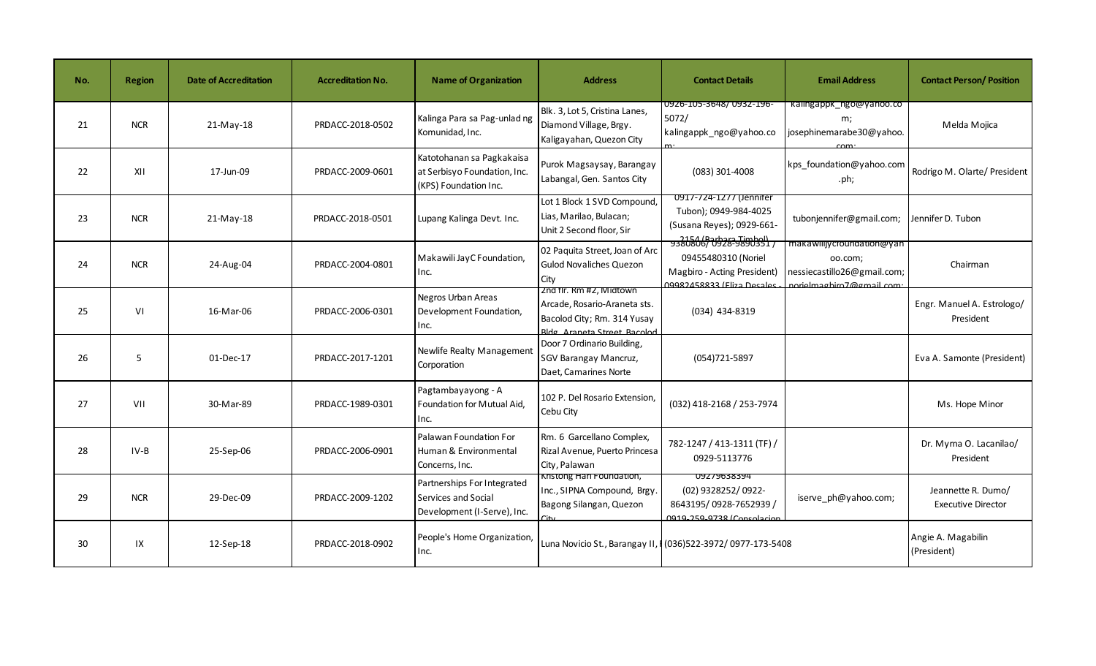| No. | <b>Region</b> | <b>Date of Accreditation</b> | <b>Accreditation No.</b> | <b>Name of Organization</b>                                                        | <b>Address</b>                                                                                                        | <b>Contact Details</b>                                                                                                          | <b>Email Address</b>                                                                             | <b>Contact Person/ Position</b>                 |
|-----|---------------|------------------------------|--------------------------|------------------------------------------------------------------------------------|-----------------------------------------------------------------------------------------------------------------------|---------------------------------------------------------------------------------------------------------------------------------|--------------------------------------------------------------------------------------------------|-------------------------------------------------|
| 21  | <b>NCR</b>    | 21-May-18                    | PRDACC-2018-0502         | Kalinga Para sa Pag-unlad ng<br>Komunidad, Inc.                                    | Blk. 3, Lot 5, Cristina Lanes,<br>Diamond Village, Brgy.<br>Kaligayahan, Quezon City                                  | 0926-105-3648/0932-196-<br>5072/<br>kalingappk_ngo@yahoo.co                                                                     | kalingappk ngo@yahoo.co<br>m;<br>josephinemarabe30@yahoo.                                        | Melda Mojica                                    |
| 22  | XII           | 17-Jun-09                    | PRDACC-2009-0601         | Katotohanan sa Pagkakaisa<br>at Serbisyo Foundation, Inc.<br>(KPS) Foundation Inc. | Purok Magsaysay, Barangay<br>Labangal, Gen. Santos City                                                               | (083) 301-4008                                                                                                                  | kps foundation@yahoo.com<br>.ph;                                                                 | Rodrigo M. Olarte/ President                    |
| 23  | <b>NCR</b>    | $21-May-18$                  | PRDACC-2018-0501         | Lupang Kalinga Devt. Inc.                                                          | Lot 1 Block 1 SVD Compound,<br>Lias, Marilao, Bulacan;<br>Unit 2 Second floor, Sir                                    | 0917-724-1277 (Jennifer<br>Tubon); 0949-984-4025<br>(Susana Reyes); 0929-661-<br>1/2154 (Barbara Timbol)<br>  1229-9380806/0928 | tubonjennifer@gmail.com;                                                                         | Jennifer D. Tubon                               |
| 24  | <b>NCR</b>    | 24-Aug-04                    | PRDACC-2004-0801         | Makawili JayC Foundation,<br>Inc.                                                  | 02 Paquita Street, Joan of Arc<br><b>Gulod Novaliches Quezon</b><br>City                                              | 09455480310 (Noriel<br>Magbiro - Acting President)<br>09982458833 (Eliza Desales                                                | makawiiijycroundation@yan<br>oo.com;<br>nessiecastillo26@gmail.com;<br>norielmaghiro7@gmail.com: | Chairman                                        |
| 25  | VI            | 16-Mar-06                    | PRDACC-2006-0301         | Negros Urban Areas<br>Development Foundation,<br>Inc.                              | Zna fir. Rm #2, Miatown<br>Arcade, Rosario-Araneta sts.<br>Bacolod City; Rm. 314 Yusay<br>Ridg Araneta Street Racolod | (034) 434-8319                                                                                                                  |                                                                                                  | Engr. Manuel A. Estrologo/<br>President         |
| 26  | 5             | 01-Dec-17                    | PRDACC-2017-1201         | Newlife Realty Management<br>Corporation                                           | Door 7 Ordinario Building,<br><b>SGV Barangay Mancruz,</b><br>Daet, Camarines Norte                                   | (054)721-5897                                                                                                                   |                                                                                                  | Eva A. Samonte (President)                      |
| 27  | VII           | 30-Mar-89                    | PRDACC-1989-0301         | Pagtambayayong - A<br>Foundation for Mutual Aid,<br>Inc.                           | 102 P. Del Rosario Extension.<br>Cebu City                                                                            | (032) 418-2168 / 253-7974                                                                                                       |                                                                                                  | Ms. Hope Minor                                  |
| 28  | $IV-B$        | 25-Sep-06                    | PRDACC-2006-0901         | Palawan Foundation For<br>Human & Environmental<br>Concerns, Inc.                  | Rm. 6 Garcellano Complex,<br>Rizal Avenue, Puerto Princesa<br>City, Palawan                                           | 782-1247 / 413-1311 (TF) /<br>0929-5113776                                                                                      |                                                                                                  | Dr. Myrna O. Lacanilao/<br>President            |
| 29  | <b>NCR</b>    | 29-Dec-09                    | PRDACC-2009-1202         | Partnerships For Integrated<br>Services and Social<br>Development (I-Serve), Inc.  | Kristong Hari Foundation,<br>Inc., SIPNA Compound, Brgy.<br>Bagong Silangan, Quezon                                   | 09279638394<br>(02) 9328252/0922-<br>8643195/0928-7652939/<br>0010_250_0738 (Consolacion                                        | iserve ph@yahoo.com;                                                                             | Jeannette R. Dumo/<br><b>Executive Director</b> |
| 30  | IX            | 12-Sep-18                    | PRDACC-2018-0902         | People's Home Organization,<br>Inc.                                                | Luna Novicio St., Barangay II, I (036) 522-3972/ 0977-173-5408                                                        |                                                                                                                                 |                                                                                                  | Angie A. Magabilin<br>(President)               |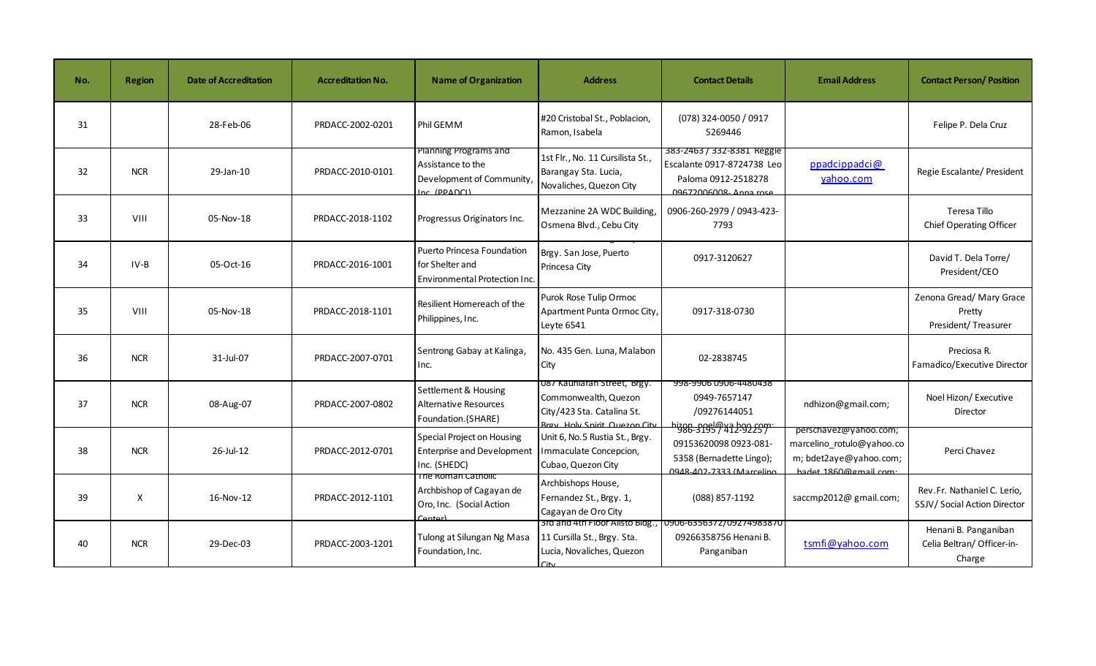| No. | <b>Region</b> | <b>Date of Accreditation</b> | <b>Accreditation No.</b> | <b>Name of Organization</b>                                                             | <b>Address</b>                                                                                                    | <b>Contact Details</b>                                                                                                | <b>Email Address</b>                                                                                  | <b>Contact Person/Position</b>                               |
|-----|---------------|------------------------------|--------------------------|-----------------------------------------------------------------------------------------|-------------------------------------------------------------------------------------------------------------------|-----------------------------------------------------------------------------------------------------------------------|-------------------------------------------------------------------------------------------------------|--------------------------------------------------------------|
| 31  |               | 28-Feb-06                    | PRDACC-2002-0201         | Phil GEMM                                                                               | #20 Cristobal St., Poblacion,<br>Ramon, Isabela                                                                   | (078) 324-0050 / 0917<br>5269446                                                                                      |                                                                                                       | Felipe P. Dela Cruz                                          |
| 32  | <b>NCR</b>    | 29-Jan-10                    | PRDACC-2010-0101         | Planning Programs and<br>Assistance to the<br>Development of Community,<br>Inc (PPADCI) | 1st Flr., No. 11 Cursilista St.,<br>Barangay Sta. Lucia,<br>Novaliches, Quezon City                               | 383-2463 / 332-8381 Reggie<br>Escalante 0917-8724738 Leo<br>Paloma 0912-2518278<br>09672006008-Anna rose              | ppadcippadci@<br>yahoo.com                                                                            | Regie Escalante/ President                                   |
| 33  | VIII          | 05-Nov-18                    | PRDACC-2018-1102         | Progressus Originators Inc.                                                             | Mezzanine 2A WDC Building,<br>Osmena Blvd., Cebu City                                                             | 0906-260-2979 / 0943-423-<br>7793                                                                                     |                                                                                                       | Teresa Tillo<br>Chief Operating Officer                      |
| 34  | IV-B          | 05-Oct-16                    | PRDACC-2016-1001         | Puerto Princesa Foundation<br>for Shelter and<br>Environmental Protection Inc.          | Brgy. San Jose, Puerto<br>Princesa City                                                                           | 0917-3120627                                                                                                          |                                                                                                       | David T. Dela Torre/<br>President/CEO                        |
| 35  | VIII          | 05-Nov-18                    | PRDACC-2018-1101         | Resilient Homereach of the<br>Philippines, Inc.                                         | Purok Rose Tulip Ormoc<br>Apartment Punta Ormoc City,<br>Leyte 6541                                               | 0917-318-0730                                                                                                         |                                                                                                       | Zenona Gread/ Mary Grace<br>Pretty<br>President/ Treasurer   |
| 36  | <b>NCR</b>    | 31-Jul-07                    | PRDACC-2007-0701         | Sentrong Gabay at Kalinga,<br>Inc.                                                      | No. 435 Gen. Luna. Malabon<br>City                                                                                | 02-2838745                                                                                                            |                                                                                                       | Preciosa R.<br>Famadico/Executive Director                   |
| 37  | <b>NCR</b>    | 08-Aug-07                    | PRDACC-2007-0802         | Settlement & Housing<br><b>Alternative Resources</b><br>Foundation. (SHARE)             | U87 Kauniaran Street, Brgy.<br>Commonwealth, Quezon<br>City/423 Sta. Catalina St.<br>Rray Holy Spirit Quezon City | 998-9906 0906-4480438<br>0949-7657147<br>/09276144051                                                                 | ndhizon@gmail.com;                                                                                    | Noel Hizon/ Executive<br>Director                            |
| 38  | <b>NCR</b>    | 26-Jul-12                    | PRDACC-2012-0701         | <b>Special Project on Housing</b><br><b>Enterprise and Development</b><br>Inc. (SHEDC)  | Unit 6, No.5 Rustia St., Brgy.<br>Immaculate Concepcion,<br>Cubao, Quezon City                                    | <del>988-31957 412-92 257 نظام</del><br>09153620098 0923-081-<br>5358 (Bernadette Lingo);<br>0948-402-7333 (Marceline | perschavez@yanoo.com;<br>marcelino_rotulo@yahoo.co<br>m; bdet2aye@yahoo.com;<br>hadet 1860@gmail.com: | Perci Chavez                                                 |
| 39  | $\mathsf{x}$  | 16-Nov-12                    | PRDACC-2012-1101         | The Roman Catholic<br>Archbishop of Cagayan de<br>Oro, Inc. (Social Action<br>Contorl   | Archbishops House,<br>Fernandez St., Brgy. 1,<br>Cagayan de Oro City                                              | (088) 857-1192                                                                                                        | saccmp2012@ gmail.com;                                                                                | Rev.Fr. Nathaniel C. Lerio,<br>SSJV/ Social Action Director  |
| 40  | <b>NCR</b>    | 29-Dec-03                    | PRDACC-2003-1201         | Tulong at Silungan Ng Masa<br>Foundation, Inc.                                          | 11 Cursilla St., Brgy. Sta.<br>Lucia, Novaliches, Quezon<br>City.                                                 | 3rd and 4th Floor Alisto Bldg., 0906-6356372/09274983870<br>09266358756 Henani B.<br>Panganiban                       | tsmfi@yahoo.com                                                                                       | Henani B. Panganiban<br>Celia Beltran/ Officer-in-<br>Charge |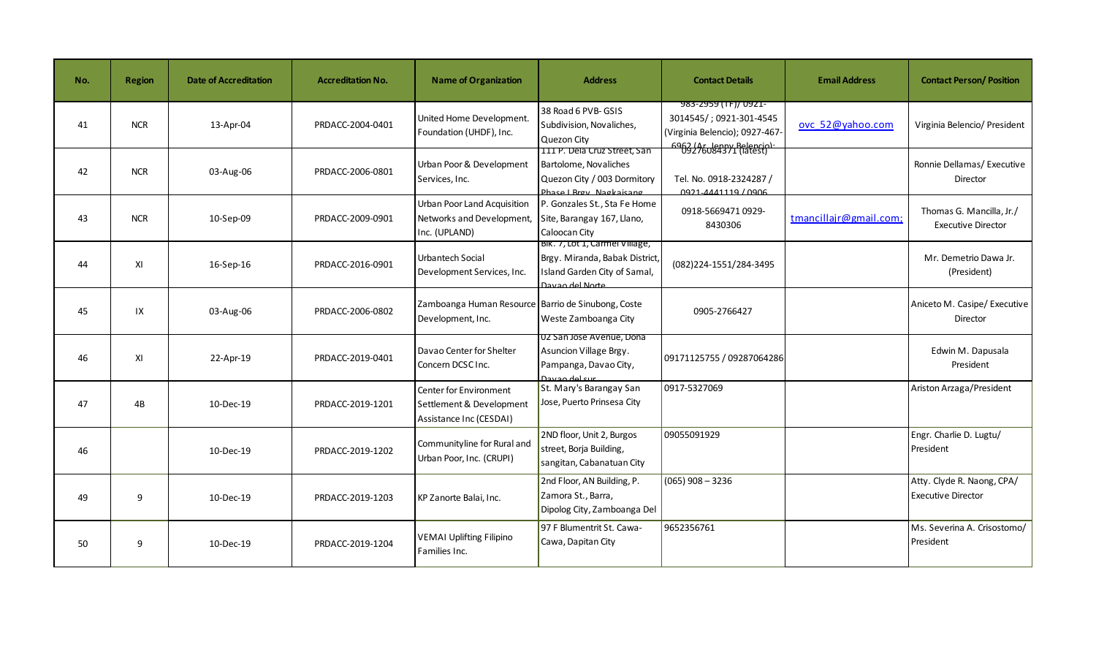| No. | <b>Region</b> | <b>Date of Accreditation</b> | <b>Accreditation No.</b> | <b>Name of Organization</b>                                                                          | <b>Address</b>                                                                                                      | <b>Contact Details</b>                                                                                                                   | <b>Email Address</b>   | <b>Contact Person/ Position</b>                         |
|-----|---------------|------------------------------|--------------------------|------------------------------------------------------------------------------------------------------|---------------------------------------------------------------------------------------------------------------------|------------------------------------------------------------------------------------------------------------------------------------------|------------------------|---------------------------------------------------------|
| 41  | <b>NCR</b>    | 13-Apr-04                    | PRDACC-2004-0401         | United Home Development.<br>Foundation (UHDF), Inc.                                                  | 38 Road 6 PVB-GSIS<br>Subdivision, Novaliches,<br>Quezon City<br>TIII P. Dela Cruz Street, San                      | 983-2959 (TF)/ 0921-<br>3014545/; 0921-301-4545<br>(Virginia Belencio); 0927-467-<br>6962 (Ar. Jenny Belencio)<br>- 09276084371 (latest) | ovc 52@yahoo.com       | Virginia Belencio/ President                            |
| 42  | <b>NCR</b>    | 03-Aug-06                    | PRDACC-2006-0801         | Urban Poor & Development<br>Services, Inc.                                                           | Bartolome, Novaliches<br>Quezon City / 003 Dormitory<br>Phase I Bray Nagkaisang                                     | Tel. No. 0918-2324287 /<br>0921-4441119 / 0906                                                                                           |                        | Ronnie Dellamas/ Executive<br>Director                  |
| 43  | <b>NCR</b>    | 10-Sep-09                    | PRDACC-2009-0901         | Urban Poor Land Acquisition<br>Networks and Development, Site, Barangay 167, Llano,<br>Inc. (UPLAND) | P. Gonzales St., Sta Fe Home<br>Caloocan City                                                                       | 0918-5669471 0929-<br>8430306                                                                                                            | tmancillajr@gmail.com; | Thomas G. Mancilla, Jr./<br><b>Executive Director</b>   |
| 44  | XI            | 16-Sep-16                    | PRDACC-2016-0901         | Urbantech Social<br>Development Services, Inc.                                                       | BIK. 7, LOT 1, Carmel Village,<br>Brgy. Miranda, Babak District,<br>Island Garden City of Samal,<br>Davan del Norte | (082)224-1551/284-3495                                                                                                                   |                        | Mr. Demetrio Dawa Jr.<br>(President)                    |
| 45  | IX            | 03-Aug-06                    | PRDACC-2006-0802         | Zamboanga Human Resource Barrio de Sinubong, Coste<br>Development, Inc.                              | Weste Zamboanga City                                                                                                | 0905-2766427                                                                                                                             |                        | Aniceto M. Casipe/ Executive<br>Director                |
| 46  | XI            | 22-Apr-19                    | PRDACC-2019-0401         | Davao Center for Shelter<br>Concern DCSC Inc.                                                        | UZ San Jose Avenue, Dona<br>Asuncion Village Brgy.<br>Pampanga, Davao City,<br>Davan del sur                        | 09171125755 / 09287064286                                                                                                                |                        | Edwin M. Dapusala<br>President                          |
| 47  | 4B            | 10-Dec-19                    | PRDACC-2019-1201         | Center for Environment<br>Settlement & Development<br>Assistance Inc (CESDAI)                        | St. Mary's Barangay San<br>Jose, Puerto Prinsesa City                                                               | 0917-5327069                                                                                                                             |                        | Ariston Arzaga/President                                |
| 46  |               | 10-Dec-19                    | PRDACC-2019-1202         | Communityline for Rural and<br>Urban Poor, Inc. (CRUPI)                                              | 2ND floor, Unit 2, Burgos<br>street, Borja Building,<br>sangitan, Cabanatuan City                                   | 09055091929                                                                                                                              |                        | Engr. Charlie D. Lugtu/<br>President                    |
| 49  | 9             | 10-Dec-19                    | PRDACC-2019-1203         | KP Zanorte Balai, Inc.                                                                               | 2nd Floor, AN Building, P.<br>Zamora St., Barra,<br>Dipolog City, Zamboanga Del                                     | $(065)$ 908 - 3236                                                                                                                       |                        | Atty. Clyde R. Naong, CPA/<br><b>Executive Director</b> |
| 50  | 9             | 10-Dec-19                    | PRDACC-2019-1204         | <b>VEMAI Uplifting Filipino</b><br>Families Inc.                                                     | 97 F Blumentrit St. Cawa-<br>Cawa, Dapitan City                                                                     | 9652356761                                                                                                                               |                        | Ms. Severina A. Crisostomo/<br>President                |